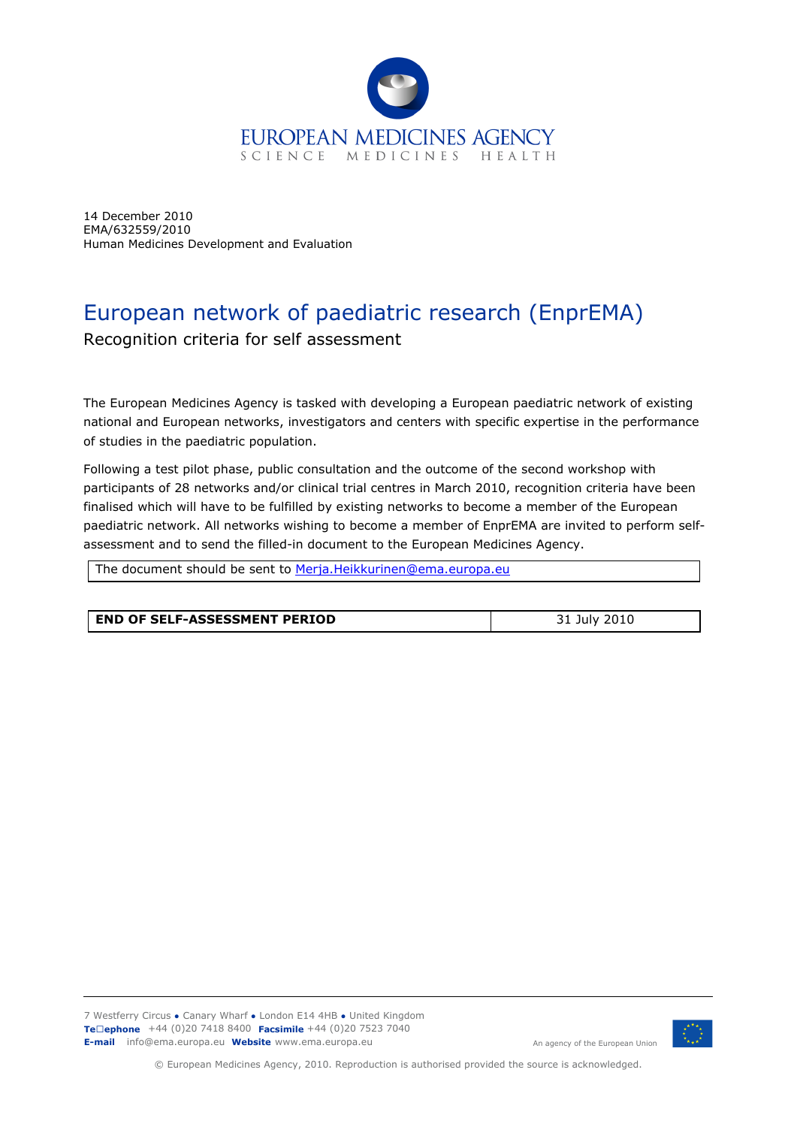

14 December 2010 EMA/632559/2010 Human Medicines Development and Evaluation

# European network of paediatric research (EnprEMA)

Recognition criteria for self assessment

The European Medicines Agency is tasked with developing a European paediatric network of existing national and European networks, investigators and centers with specific expertise in the performance of studies in the paediatric population.

Following a test pilot phase, public consultation and the outcome of the second workshop with participants of 28 networks and/or clinical trial centres in March 2010, recognition criteria have been finalised which will have to be fulfilled by existing networks to become a member of the European paediatric network. All networks wishing to become a member of EnprEMA are invited to perform selfassessment and to send the filled-in document to the European Medicines Agency.

The document should be sent to Merja.Heikkurinen@ema.europa.eu

| <b>LEND OF SELF-ASSESSMENT PERIOD</b> | 31 July 2010 |
|---------------------------------------|--------------|



© European Medicines Agency, 2010. Reproduction is authorised provided the source is acknowledged.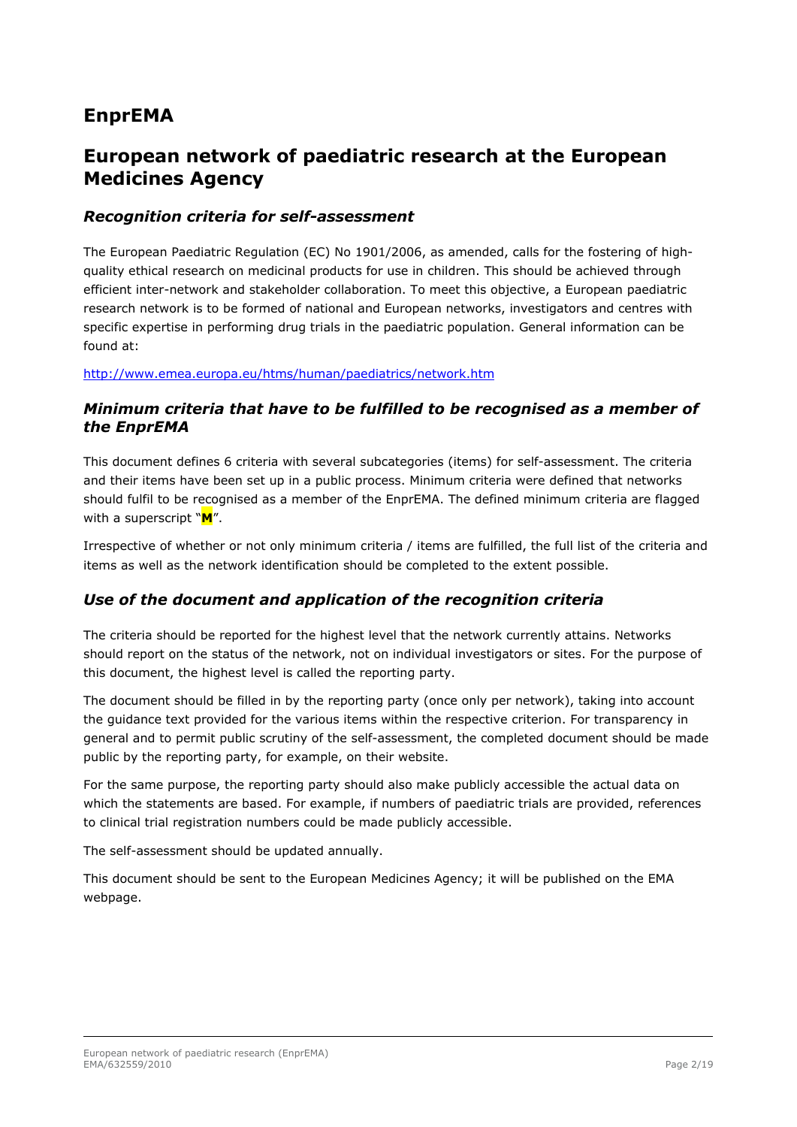# **EnprEMA**

## **European network of paediatric research at the European Medicines Agency**

#### *Recognition criteria for self-assessment*

The European Paediatric Regulation (EC) No 1901/2006, as amended, calls for the fostering of highquality ethical research on medicinal products for use in children. This should be achieved through efficient inter-network and stakeholder collaboration. To meet this objective, a European paediatric research network is to be formed of national and European networks, investigators and centres with specific expertise in performing drug trials in the paediatric population. General information can be found at:

http://www.emea.europa.eu/htms/human/paediatrics/network.htm

#### *Minimum criteria that have to be fulfilled to be recognised as a member of the EnprEMA*

This document defines 6 criteria with several subcategories (items) for self-assessment. The criteria and their items have been set up in a public process. Minimum criteria were defined that networks should fulfil to be recognised as a member of the EnprEMA. The defined minimum criteria are flagged with a superscript "**M**".

Irrespective of whether or not only minimum criteria / items are fulfilled, the full list of the criteria and items as well as the network identification should be completed to the extent possible.

### *Use of the document and application of the recognition criteria*

The criteria should be reported for the highest level that the network currently attains. Networks should report on the status of the network, not on individual investigators or sites. For the purpose of this document, the highest level is called the reporting party.

The document should be filled in by the reporting party (once only per network), taking into account the guidance text provided for the various items within the respective criterion. For transparency in general and to permit public scrutiny of the self-assessment, the completed document should be made public by the reporting party, for example, on their website.

For the same purpose, the reporting party should also make publicly accessible the actual data on which the statements are based. For example, if numbers of paediatric trials are provided, references to clinical trial registration numbers could be made publicly accessible.

The self-assessment should be updated annually.

This document should be sent to the European Medicines Agency; it will be published on the EMA webpage.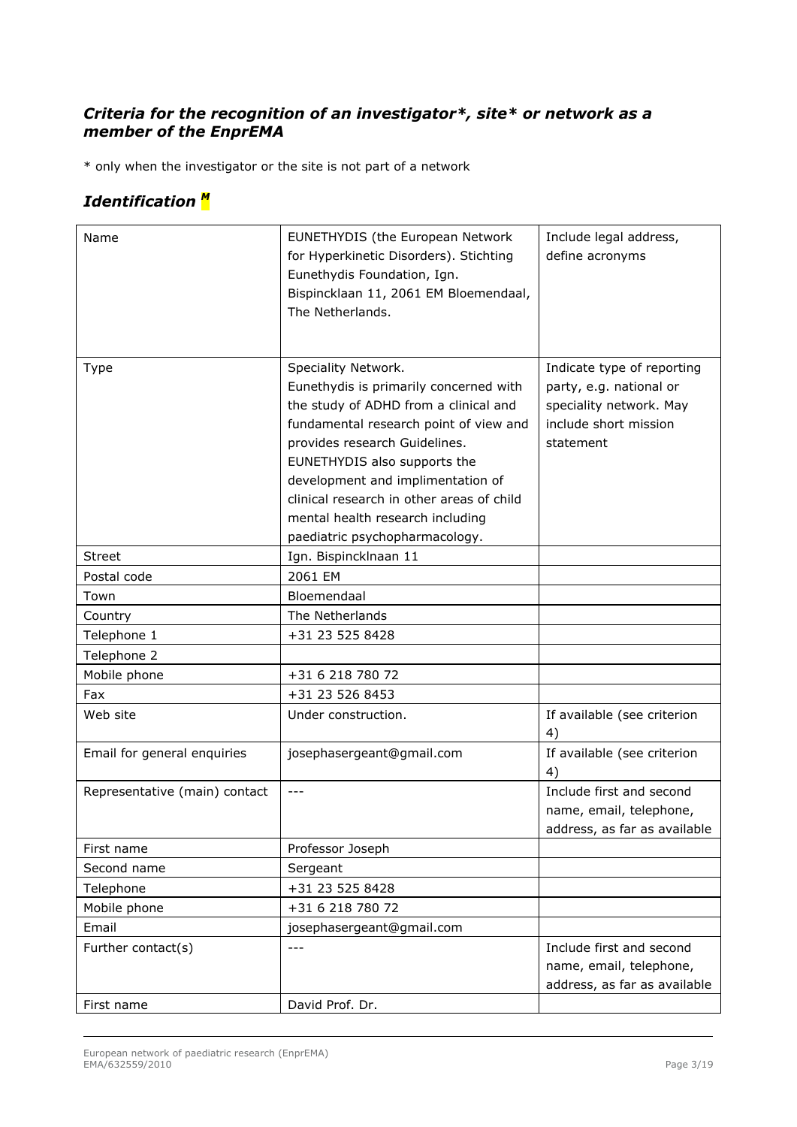### *Criteria for the recognition of an investigator\*, site\* or network as a member of the EnprEMA*

\* only when the investigator or the site is not part of a network

## *Identification <sup>M</sup>*

| Name                          | EUNETHYDIS (the European Network<br>for Hyperkinetic Disorders). Stichting<br>Eunethydis Foundation, Ign.<br>Bispincklaan 11, 2061 EM Bloemendaal,<br>The Netherlands.                                                                                                                                                                                                    | Include legal address,<br>define acronyms                                                                              |
|-------------------------------|---------------------------------------------------------------------------------------------------------------------------------------------------------------------------------------------------------------------------------------------------------------------------------------------------------------------------------------------------------------------------|------------------------------------------------------------------------------------------------------------------------|
| <b>Type</b>                   | Speciality Network.<br>Eunethydis is primarily concerned with<br>the study of ADHD from a clinical and<br>fundamental research point of view and<br>provides research Guidelines.<br>EUNETHYDIS also supports the<br>development and implimentation of<br>clinical research in other areas of child<br>mental health research including<br>paediatric psychopharmacology. | Indicate type of reporting<br>party, e.g. national or<br>speciality network. May<br>include short mission<br>statement |
| <b>Street</b>                 | Ign. Bispincklnaan 11                                                                                                                                                                                                                                                                                                                                                     |                                                                                                                        |
| Postal code                   | 2061 EM                                                                                                                                                                                                                                                                                                                                                                   |                                                                                                                        |
| Town                          | Bloemendaal                                                                                                                                                                                                                                                                                                                                                               |                                                                                                                        |
| Country                       | The Netherlands                                                                                                                                                                                                                                                                                                                                                           |                                                                                                                        |
| Telephone 1                   | +31 23 525 8428                                                                                                                                                                                                                                                                                                                                                           |                                                                                                                        |
| Telephone 2                   |                                                                                                                                                                                                                                                                                                                                                                           |                                                                                                                        |
| Mobile phone                  | +31 6 218 780 72                                                                                                                                                                                                                                                                                                                                                          |                                                                                                                        |
| Fax                           | +31 23 526 8453                                                                                                                                                                                                                                                                                                                                                           |                                                                                                                        |
| Web site                      | Under construction.                                                                                                                                                                                                                                                                                                                                                       | If available (see criterion<br>4)                                                                                      |
| Email for general enquiries   | josephasergeant@gmail.com                                                                                                                                                                                                                                                                                                                                                 | If available (see criterion<br>4)                                                                                      |
| Representative (main) contact | ---                                                                                                                                                                                                                                                                                                                                                                       | Include first and second<br>name, email, telephone,<br>address, as far as available                                    |
| First name                    | Professor Joseph                                                                                                                                                                                                                                                                                                                                                          |                                                                                                                        |
| Second name                   | Sergeant                                                                                                                                                                                                                                                                                                                                                                  |                                                                                                                        |
| Telephone                     | +31 23 525 8428                                                                                                                                                                                                                                                                                                                                                           |                                                                                                                        |
| Mobile phone                  | +31 6 218 780 72                                                                                                                                                                                                                                                                                                                                                          |                                                                                                                        |
| Email                         | josephasergeant@gmail.com                                                                                                                                                                                                                                                                                                                                                 |                                                                                                                        |
| Further contact(s)            | $---$                                                                                                                                                                                                                                                                                                                                                                     | Include first and second                                                                                               |
|                               |                                                                                                                                                                                                                                                                                                                                                                           | name, email, telephone,                                                                                                |
|                               |                                                                                                                                                                                                                                                                                                                                                                           | address, as far as available                                                                                           |
| First name                    | David Prof. Dr.                                                                                                                                                                                                                                                                                                                                                           |                                                                                                                        |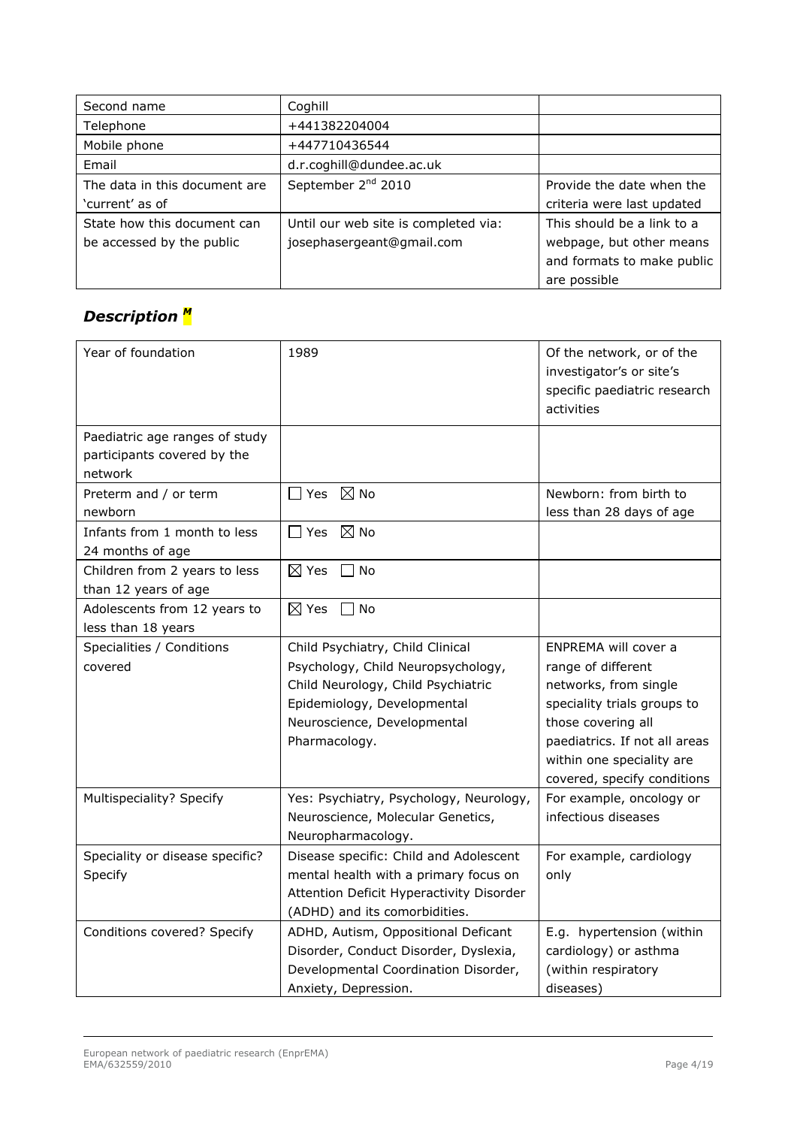| Second name                   | Coghill                              |                            |
|-------------------------------|--------------------------------------|----------------------------|
| Telephone                     | +441382204004                        |                            |
| Mobile phone                  | +447710436544                        |                            |
| Email                         | d.r.coghill@dundee.ac.uk             |                            |
| The data in this document are | September 2 <sup>nd</sup> 2010       | Provide the date when the  |
| 'current' as of               |                                      | criteria were last updated |
| State how this document can   | Until our web site is completed via: | This should be a link to a |
| be accessed by the public     | josephasergeant@gmail.com            | webpage, but other means   |
|                               |                                      | and formats to make public |
|                               |                                      | are possible               |

# *Description <sup>M</sup>*

| Year of foundation                                            | 1989                                                                                                                                                                                        | Of the network, or of the<br>investigator's or site's<br>specific paediatric research<br>activities                                                                                                                   |
|---------------------------------------------------------------|---------------------------------------------------------------------------------------------------------------------------------------------------------------------------------------------|-----------------------------------------------------------------------------------------------------------------------------------------------------------------------------------------------------------------------|
| Paediatric age ranges of study<br>participants covered by the |                                                                                                                                                                                             |                                                                                                                                                                                                                       |
| network                                                       |                                                                                                                                                                                             |                                                                                                                                                                                                                       |
| Preterm and / or term<br>newborn                              | $\Box$ Yes $\ \boxtimes$ No                                                                                                                                                                 | Newborn: from birth to<br>less than 28 days of age                                                                                                                                                                    |
| Infants from 1 month to less<br>24 months of age              | Yes<br>$\boxtimes$ No                                                                                                                                                                       |                                                                                                                                                                                                                       |
| Children from 2 years to less<br>than 12 years of age         | $\boxtimes$ Yes<br>$\Box$ No                                                                                                                                                                |                                                                                                                                                                                                                       |
| Adolescents from 12 years to<br>less than 18 years            | $\boxtimes$ Yes<br>No                                                                                                                                                                       |                                                                                                                                                                                                                       |
| Specialities / Conditions<br>covered                          | Child Psychiatry, Child Clinical<br>Psychology, Child Neuropsychology,<br>Child Neurology, Child Psychiatric<br>Epidemiology, Developmental<br>Neuroscience, Developmental<br>Pharmacology. | ENPREMA will cover a<br>range of different<br>networks, from single<br>speciality trials groups to<br>those covering all<br>paediatrics. If not all areas<br>within one speciality are<br>covered, specify conditions |
| Multispeciality? Specify                                      | Yes: Psychiatry, Psychology, Neurology,<br>Neuroscience, Molecular Genetics,<br>Neuropharmacology.                                                                                          | For example, oncology or<br>infectious diseases                                                                                                                                                                       |
| Speciality or disease specific?<br>Specify                    | Disease specific: Child and Adolescent<br>mental health with a primary focus on<br>Attention Deficit Hyperactivity Disorder<br>(ADHD) and its comorbidities.                                | For example, cardiology<br>only                                                                                                                                                                                       |
| Conditions covered? Specify                                   | ADHD, Autism, Oppositional Deficant<br>Disorder, Conduct Disorder, Dyslexia,<br>Developmental Coordination Disorder,<br>Anxiety, Depression.                                                | E.g. hypertension (within<br>cardiology) or asthma<br>(within respiratory<br>diseases)                                                                                                                                |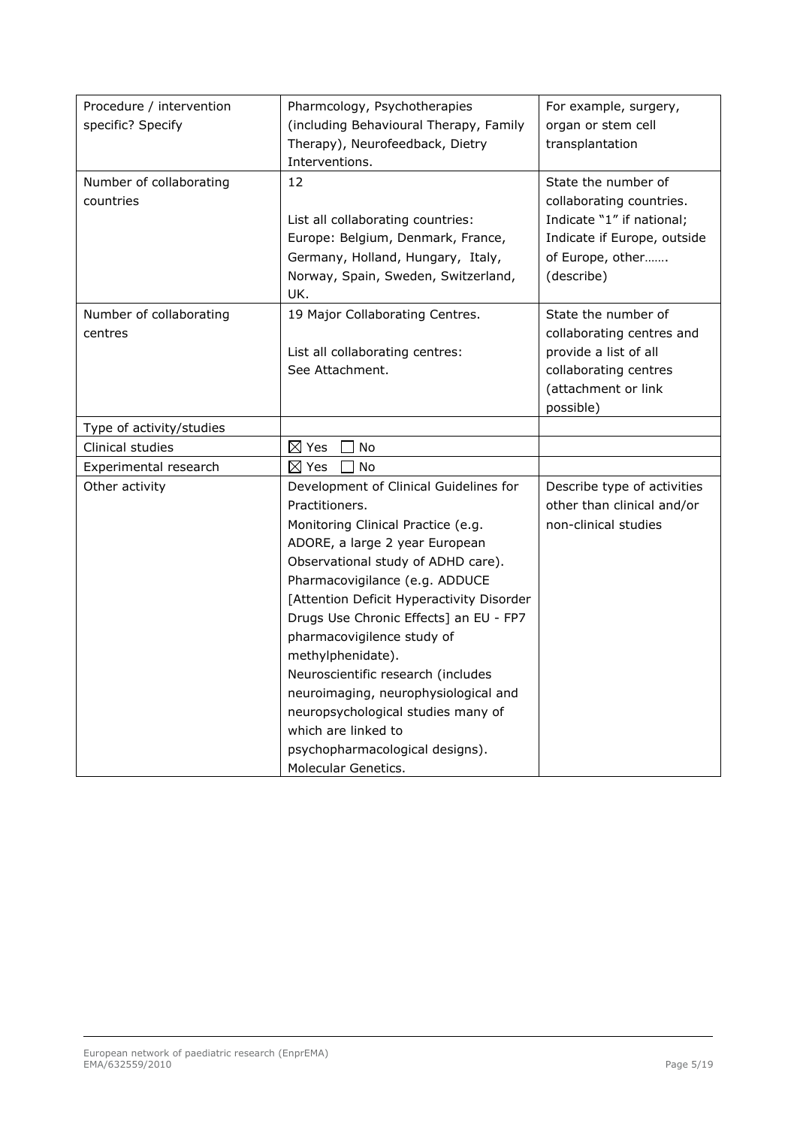| Procedure / intervention | Pharmcology, Psychotherapies              | For example, surgery,       |
|--------------------------|-------------------------------------------|-----------------------------|
| specific? Specify        | (including Behavioural Therapy, Family    | organ or stem cell          |
|                          | Therapy), Neurofeedback, Dietry           | transplantation             |
|                          | Interventions.                            |                             |
| Number of collaborating  | 12                                        | State the number of         |
| countries                |                                           | collaborating countries.    |
|                          | List all collaborating countries:         | Indicate "1" if national;   |
|                          | Europe: Belgium, Denmark, France,         | Indicate if Europe, outside |
|                          | Germany, Holland, Hungary, Italy,         | of Europe, other            |
|                          | Norway, Spain, Sweden, Switzerland,       | (describe)                  |
|                          | UK.                                       |                             |
| Number of collaborating  | 19 Major Collaborating Centres.           | State the number of         |
| centres                  |                                           | collaborating centres and   |
|                          | List all collaborating centres:           | provide a list of all       |
|                          | See Attachment.                           | collaborating centres       |
|                          |                                           | (attachment or link         |
|                          |                                           | possible)                   |
| Type of activity/studies |                                           |                             |
| Clinical studies         | $\boxtimes$ Yes<br>No                     |                             |
| Experimental research    | $\boxtimes$ Yes<br>No                     |                             |
| Other activity           | Development of Clinical Guidelines for    | Describe type of activities |
|                          | Practitioners.                            | other than clinical and/or  |
|                          | Monitoring Clinical Practice (e.g.        | non-clinical studies        |
|                          | ADORE, a large 2 year European            |                             |
|                          | Observational study of ADHD care).        |                             |
|                          | Pharmacovigilance (e.g. ADDUCE            |                             |
|                          | [Attention Deficit Hyperactivity Disorder |                             |
|                          | Drugs Use Chronic Effects] an EU - FP7    |                             |
|                          | pharmacovigilence study of                |                             |
|                          | methylphenidate).                         |                             |
|                          | Neuroscientific research (includes        |                             |
|                          | neuroimaging, neurophysiological and      |                             |
|                          | neuropsychological studies many of        |                             |
|                          | which are linked to                       |                             |
|                          | psychopharmacological designs).           |                             |
|                          | Molecular Genetics.                       |                             |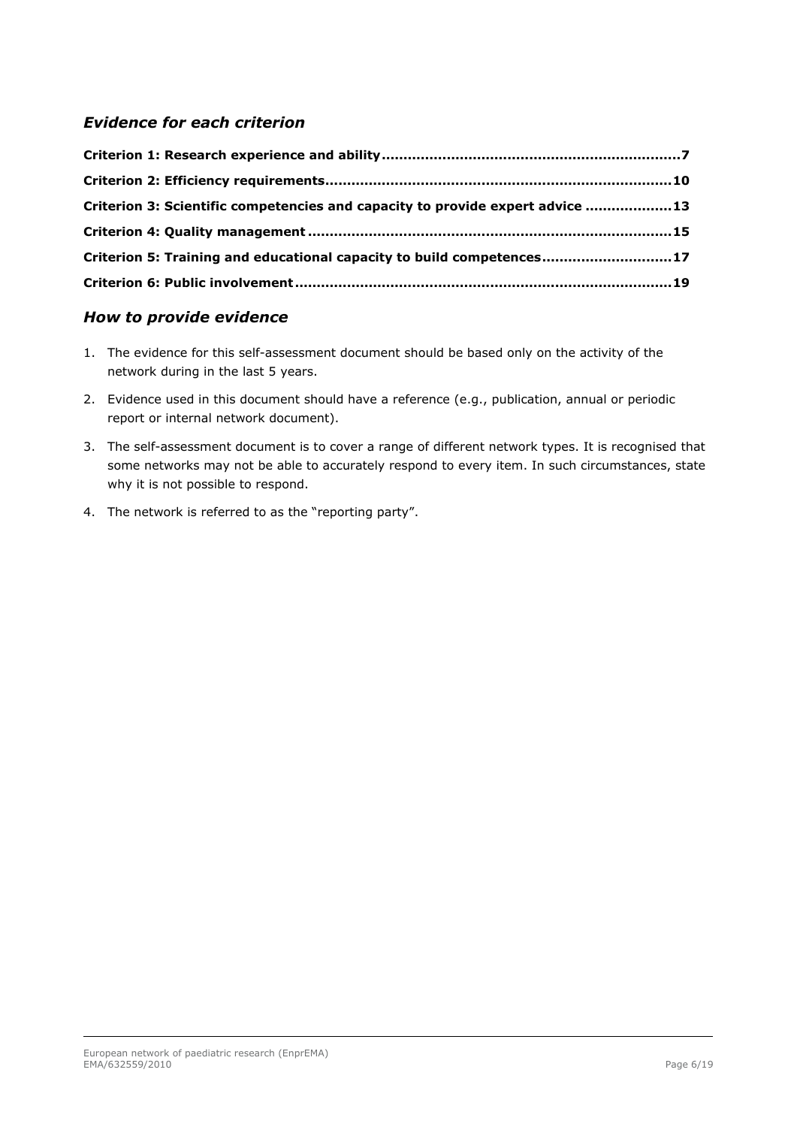### *Evidence for each criterion*

| Criterion 3: Scientific competencies and capacity to provide expert advice 13 |  |
|-------------------------------------------------------------------------------|--|
|                                                                               |  |
| Criterion 5: Training and educational capacity to build competences17         |  |
|                                                                               |  |

### *How to provide evidence*

- 1. The evidence for this self-assessment document should be based only on the activity of the network during in the last 5 years.
- 2. Evidence used in this document should have a reference (e.g., publication, annual or periodic report or internal network document).
- 3. The self-assessment document is to cover a range of different network types. It is recognised that some networks may not be able to accurately respond to every item. In such circumstances, state why it is not possible to respond.
- 4. The network is referred to as the "reporting party".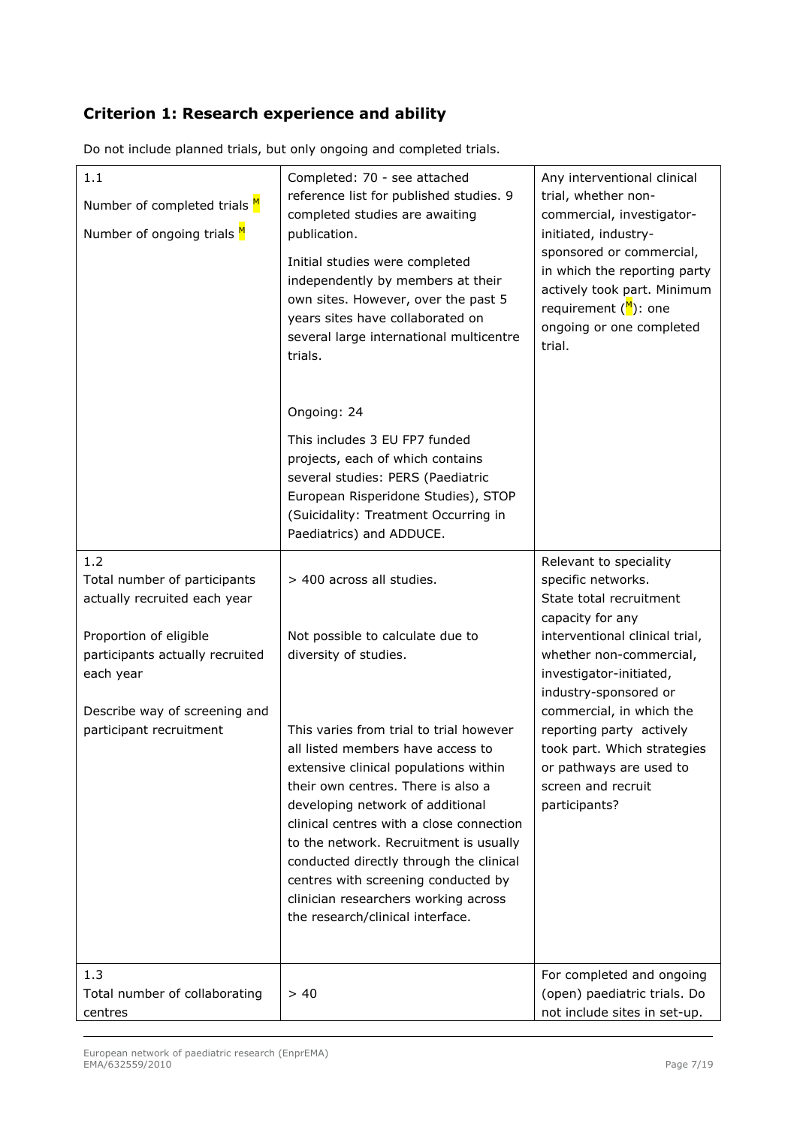### **Criterion 1: Research experience and ability**

| Completed: 70 - see attached<br>reference list for published studies. 9<br>completed studies are awaiting<br>publication.<br>Initial studies were completed<br>independently by members at their<br>own sites. However, over the past 5<br>years sites have collaborated on<br>several large international multicentre<br>trials.                                                                                                                                 | Any interventional clinical<br>trial, whether non-<br>commercial, investigator-<br>initiated, industry-<br>sponsored or commercial,<br>in which the reporting party<br>actively took part. Minimum<br>requirement $\binom{M}{1}$ : one<br>ongoing or one completed<br>trial.                                                                                          |
|-------------------------------------------------------------------------------------------------------------------------------------------------------------------------------------------------------------------------------------------------------------------------------------------------------------------------------------------------------------------------------------------------------------------------------------------------------------------|-----------------------------------------------------------------------------------------------------------------------------------------------------------------------------------------------------------------------------------------------------------------------------------------------------------------------------------------------------------------------|
| Ongoing: 24<br>This includes 3 EU FP7 funded<br>projects, each of which contains<br>several studies: PERS (Paediatric<br>European Risperidone Studies), STOP<br>(Suicidality: Treatment Occurring in<br>Paediatrics) and ADDUCE.                                                                                                                                                                                                                                  |                                                                                                                                                                                                                                                                                                                                                                       |
| > 400 across all studies.<br>Not possible to calculate due to<br>diversity of studies.<br>This varies from trial to trial however<br>all listed members have access to<br>extensive clinical populations within<br>their own centres. There is also a<br>developing network of additional<br>clinical centres with a close connection<br>to the network. Recruitment is usually<br>conducted directly through the clinical<br>centres with screening conducted by | Relevant to speciality<br>specific networks.<br>State total recruitment<br>capacity for any<br>interventional clinical trial,<br>whether non-commercial,<br>investigator-initiated,<br>industry-sponsored or<br>commercial, in which the<br>reporting party actively<br>took part. Which strategies<br>or pathways are used to<br>screen and recruit<br>participants? |
| clinician researchers working across<br>the research/clinical interface.<br>> 40                                                                                                                                                                                                                                                                                                                                                                                  | For completed and ongoing<br>(open) paediatric trials. Do<br>not include sites in set-up.                                                                                                                                                                                                                                                                             |
|                                                                                                                                                                                                                                                                                                                                                                                                                                                                   |                                                                                                                                                                                                                                                                                                                                                                       |

Do not include planned trials, but only ongoing and completed trials.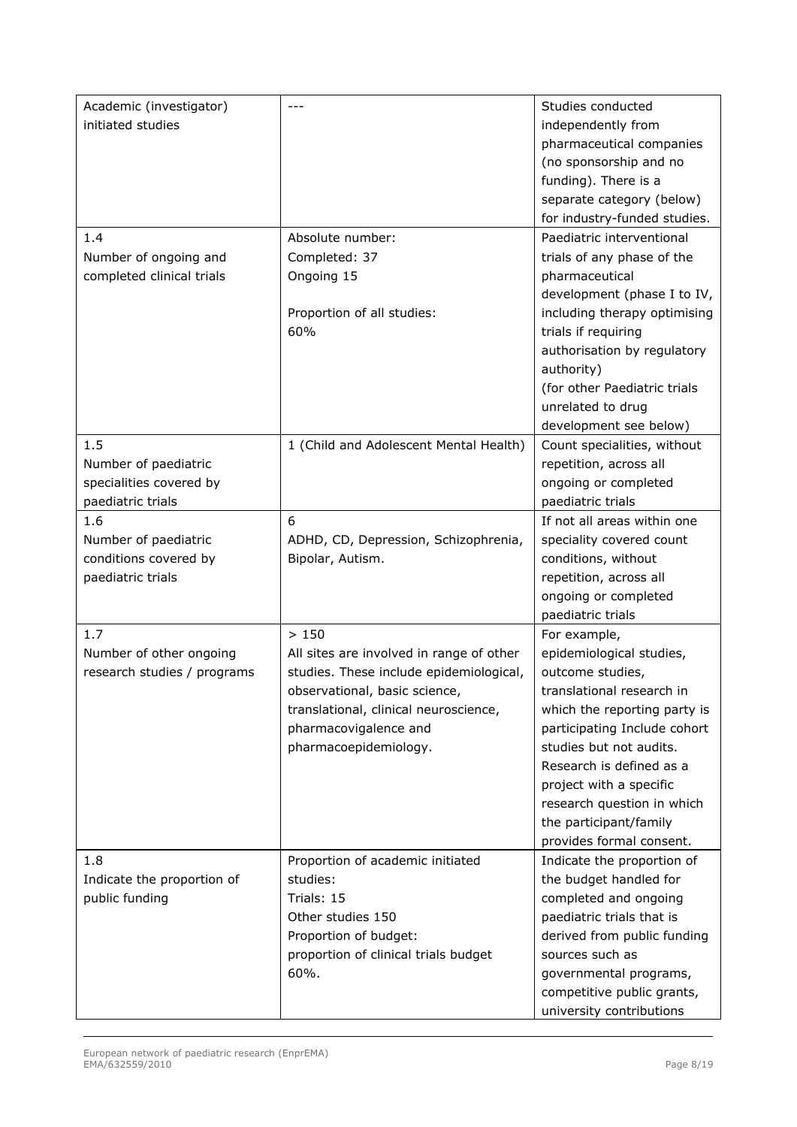| Academic (investigator)     | ---                                      | Studies conducted            |
|-----------------------------|------------------------------------------|------------------------------|
| initiated studies           |                                          | independently from           |
|                             |                                          | pharmaceutical companies     |
|                             |                                          | (no sponsorship and no       |
|                             |                                          | funding). There is a         |
|                             |                                          | separate category (below)    |
|                             |                                          | for industry-funded studies. |
| 1.4                         | Absolute number:                         | Paediatric interventional    |
| Number of ongoing and       | Completed: 37                            | trials of any phase of the   |
| completed clinical trials   | Ongoing 15                               | pharmaceutical               |
|                             |                                          | development (phase I to IV,  |
|                             | Proportion of all studies:               | including therapy optimising |
|                             | 60%                                      | trials if requiring          |
|                             |                                          | authorisation by regulatory  |
|                             |                                          | authority)                   |
|                             |                                          | (for other Paediatric trials |
|                             |                                          | unrelated to drug            |
|                             |                                          | development see below)       |
| 1.5                         | 1 (Child and Adolescent Mental Health)   | Count specialities, without  |
| Number of paediatric        |                                          | repetition, across all       |
| specialities covered by     |                                          | ongoing or completed         |
| paediatric trials           |                                          | paediatric trials            |
| 1.6                         | 6                                        | If not all areas within one  |
| Number of paediatric        | ADHD, CD, Depression, Schizophrenia,     | speciality covered count     |
| conditions covered by       | Bipolar, Autism.                         | conditions, without          |
| paediatric trials           |                                          | repetition, across all       |
|                             |                                          | ongoing or completed         |
|                             |                                          | paediatric trials            |
| 1.7                         | >150                                     | For example,                 |
| Number of other ongoing     | All sites are involved in range of other | epidemiological studies,     |
| research studies / programs | studies. These include epidemiological,  | outcome studies,             |
|                             | observational, basic science,            | translational research in    |
|                             | translational, clinical neuroscience,    | which the reporting party is |
|                             | pharmacovigalence and                    | participating Include cohort |
|                             | pharmacoepidemiology.                    | studies but not audits.      |
|                             |                                          | Research is defined as a     |
|                             |                                          | project with a specific      |
|                             |                                          | research question in which   |
|                             |                                          | the participant/family       |
|                             |                                          | provides formal consent.     |
| 1.8                         | Proportion of academic initiated         | Indicate the proportion of   |
| Indicate the proportion of  | studies:                                 | the budget handled for       |
| public funding              | Trials: 15                               | completed and ongoing        |
|                             | Other studies 150                        | paediatric trials that is    |
|                             | Proportion of budget:                    | derived from public funding  |
|                             | proportion of clinical trials budget     | sources such as              |
|                             | 60%.                                     | governmental programs,       |
|                             |                                          | competitive public grants,   |
|                             |                                          | university contributions     |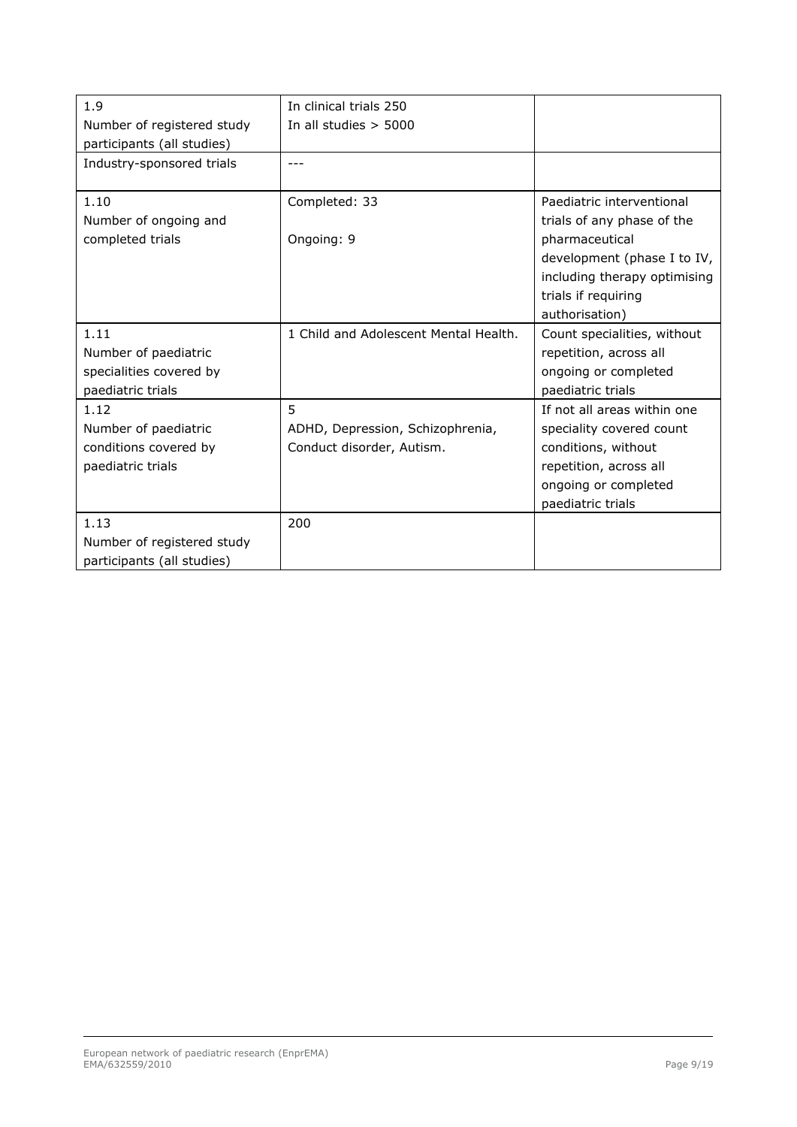| 1.9                        | In clinical trials 250                |                              |
|----------------------------|---------------------------------------|------------------------------|
| Number of registered study | In all studies $> 5000$               |                              |
| participants (all studies) |                                       |                              |
| Industry-sponsored trials  |                                       |                              |
| 1.10                       | Completed: 33                         | Paediatric interventional    |
| Number of ongoing and      |                                       | trials of any phase of the   |
| completed trials           | Ongoing: 9                            | pharmaceutical               |
|                            |                                       | development (phase I to IV,  |
|                            |                                       | including therapy optimising |
|                            |                                       | trials if requiring          |
|                            |                                       | authorisation)               |
| 1.11                       | 1 Child and Adolescent Mental Health. | Count specialities, without  |
| Number of paediatric       |                                       | repetition, across all       |
| specialities covered by    |                                       | ongoing or completed         |
| paediatric trials          |                                       | paediatric trials            |
| 1.12                       | 5                                     | If not all areas within one  |
| Number of paediatric       | ADHD, Depression, Schizophrenia,      | speciality covered count     |
| conditions covered by      | Conduct disorder, Autism.             | conditions, without          |
| paediatric trials          |                                       | repetition, across all       |
|                            |                                       | ongoing or completed         |
|                            |                                       | paediatric trials            |
| 1.13                       | 200                                   |                              |
| Number of registered study |                                       |                              |
| participants (all studies) |                                       |                              |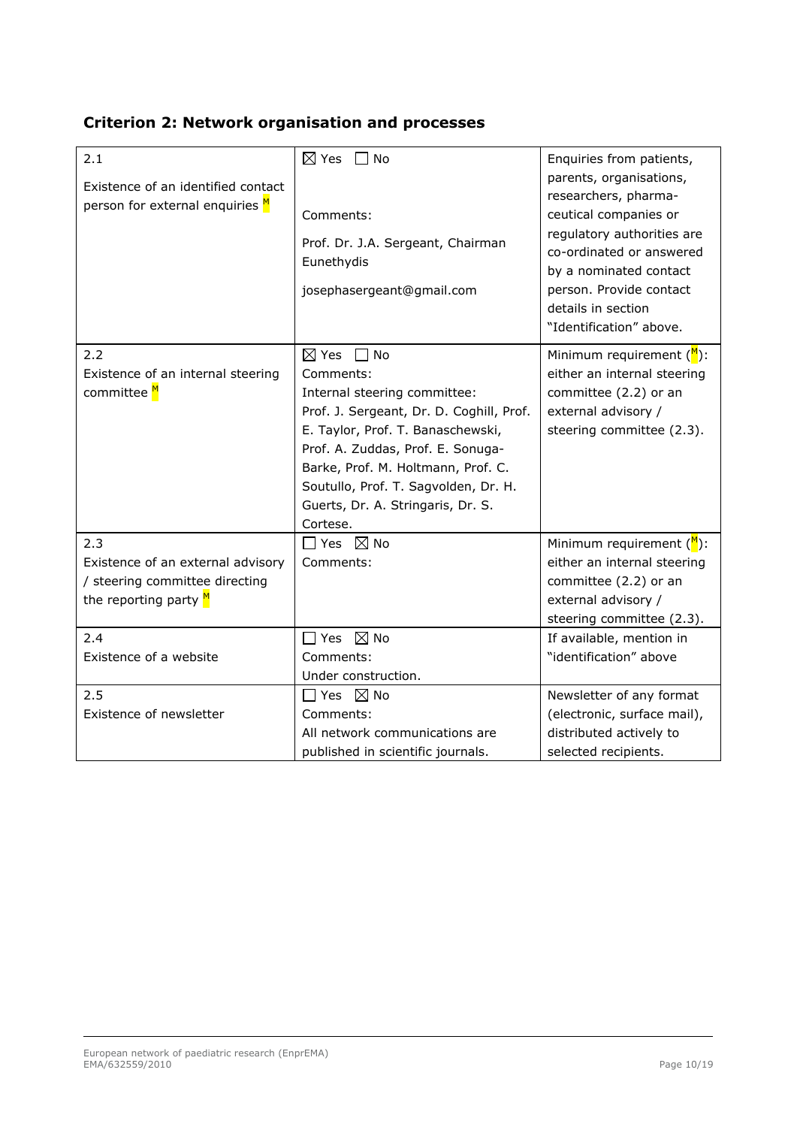|  |  |  | <b>Criterion 2: Network organisation and processes</b> |  |  |
|--|--|--|--------------------------------------------------------|--|--|
|--|--|--|--------------------------------------------------------|--|--|

| 2.1<br>Existence of an identified contact<br>person for external enquiries M                          | $\boxtimes$ Yes $\Box$ No<br>Comments:                                                                                                                                                                                                                                                                                      | Enquiries from patients,<br>parents, organisations,<br>researchers, pharma-<br>ceutical companies or                                                         |
|-------------------------------------------------------------------------------------------------------|-----------------------------------------------------------------------------------------------------------------------------------------------------------------------------------------------------------------------------------------------------------------------------------------------------------------------------|--------------------------------------------------------------------------------------------------------------------------------------------------------------|
|                                                                                                       | Prof. Dr. J.A. Sergeant, Chairman<br>Eunethydis<br>josephasergeant@gmail.com                                                                                                                                                                                                                                                | regulatory authorities are<br>co-ordinated or answered<br>by a nominated contact<br>person. Provide contact<br>details in section<br>"Identification" above. |
| 2.2<br>Existence of an internal steering<br>committee M                                               | $\boxtimes$ Yes $\Box$ No<br>Comments:<br>Internal steering committee:<br>Prof. J. Sergeant, Dr. D. Coghill, Prof.<br>E. Taylor, Prof. T. Banaschewski,<br>Prof. A. Zuddas, Prof. E. Sonuga-<br>Barke, Prof. M. Holtmann, Prof. C.<br>Soutullo, Prof. T. Sagvolden, Dr. H.<br>Guerts, Dr. A. Stringaris, Dr. S.<br>Cortese. | Minimum requirement $(M)$ :<br>either an internal steering<br>committee (2.2) or an<br>external advisory /<br>steering committee (2.3).                      |
| 2.3<br>Existence of an external advisory<br>/ steering committee directing<br>the reporting party $M$ | $\Box$ Yes $\boxtimes$ No<br>Comments:                                                                                                                                                                                                                                                                                      | Minimum requirement $(M)$ :<br>either an internal steering<br>committee (2.2) or an<br>external advisory /<br>steering committee (2.3).                      |
| 2.4<br>Existence of a website                                                                         | $\boxtimes$ No<br>$\Box$ Yes<br>Comments:<br>Under construction.                                                                                                                                                                                                                                                            | If available, mention in<br>"identification" above                                                                                                           |
| 2.5<br>Existence of newsletter                                                                        | $\Box$ Yes $\boxtimes$ No<br>Comments:<br>All network communications are<br>published in scientific journals.                                                                                                                                                                                                               | Newsletter of any format<br>(electronic, surface mail),<br>distributed actively to<br>selected recipients.                                                   |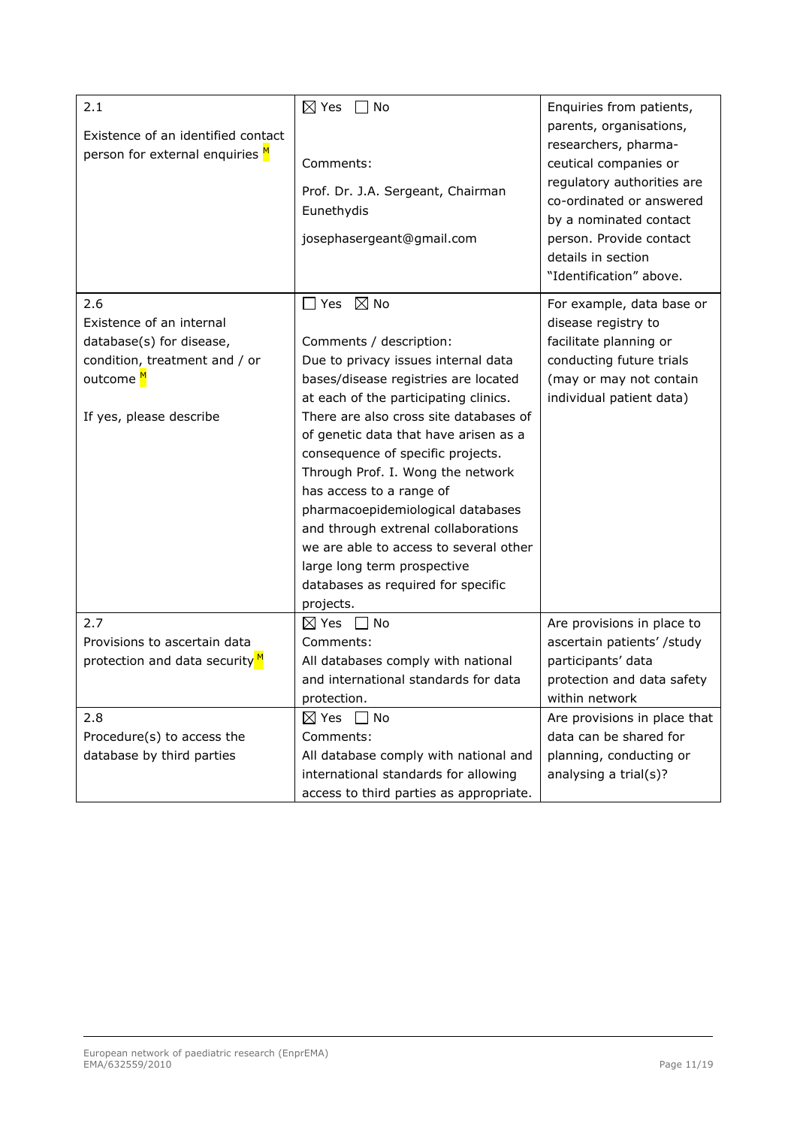| 2.1                                       | $\boxtimes$ Yes<br>No                   | Enquiries from patients,                           |
|-------------------------------------------|-----------------------------------------|----------------------------------------------------|
| Existence of an identified contact        |                                         | parents, organisations,                            |
| person for external enquiries M           | Comments:                               | researchers, pharma-<br>ceutical companies or      |
|                                           | Prof. Dr. J.A. Sergeant, Chairman       | regulatory authorities are                         |
|                                           | Eunethydis                              | co-ordinated or answered<br>by a nominated contact |
|                                           | josephasergeant@gmail.com               | person. Provide contact                            |
|                                           |                                         | details in section                                 |
|                                           |                                         | "Identification" above.                            |
| 2.6                                       | $\boxtimes$ No<br>$\square$ Yes         | For example, data base or                          |
| Existence of an internal                  |                                         | disease registry to                                |
| database(s) for disease,                  | Comments / description:                 | facilitate planning or                             |
| condition, treatment and / or             | Due to privacy issues internal data     | conducting future trials                           |
| outcome M                                 | bases/disease registries are located    | (may or may not contain                            |
|                                           | at each of the participating clinics.   | individual patient data)                           |
| If yes, please describe                   | There are also cross site databases of  |                                                    |
|                                           | of genetic data that have arisen as a   |                                                    |
|                                           | consequence of specific projects.       |                                                    |
|                                           | Through Prof. I. Wong the network       |                                                    |
|                                           | has access to a range of                |                                                    |
|                                           | pharmacoepidemiological databases       |                                                    |
|                                           | and through extrenal collaborations     |                                                    |
|                                           | we are able to access to several other  |                                                    |
|                                           | large long term prospective             |                                                    |
|                                           | databases as required for specific      |                                                    |
|                                           | projects.                               |                                                    |
| 2.7                                       | $\boxtimes$ Yes<br>No<br>$\perp$        | Are provisions in place to                         |
| Provisions to ascertain data              | Comments:                               | ascertain patients' /study                         |
| protection and data security <sup>M</sup> | All databases comply with national      | participants' data                                 |
|                                           | and international standards for data    | protection and data safety                         |
|                                           | protection.                             | within network                                     |
| 2.8                                       | $\boxtimes$ Yes<br>$\Box$ No            | Are provisions in place that                       |
| Procedure(s) to access the                | Comments:                               | data can be shared for                             |
| database by third parties                 | All database comply with national and   | planning, conducting or                            |
|                                           | international standards for allowing    | analysing a trial(s)?                              |
|                                           | access to third parties as appropriate. |                                                    |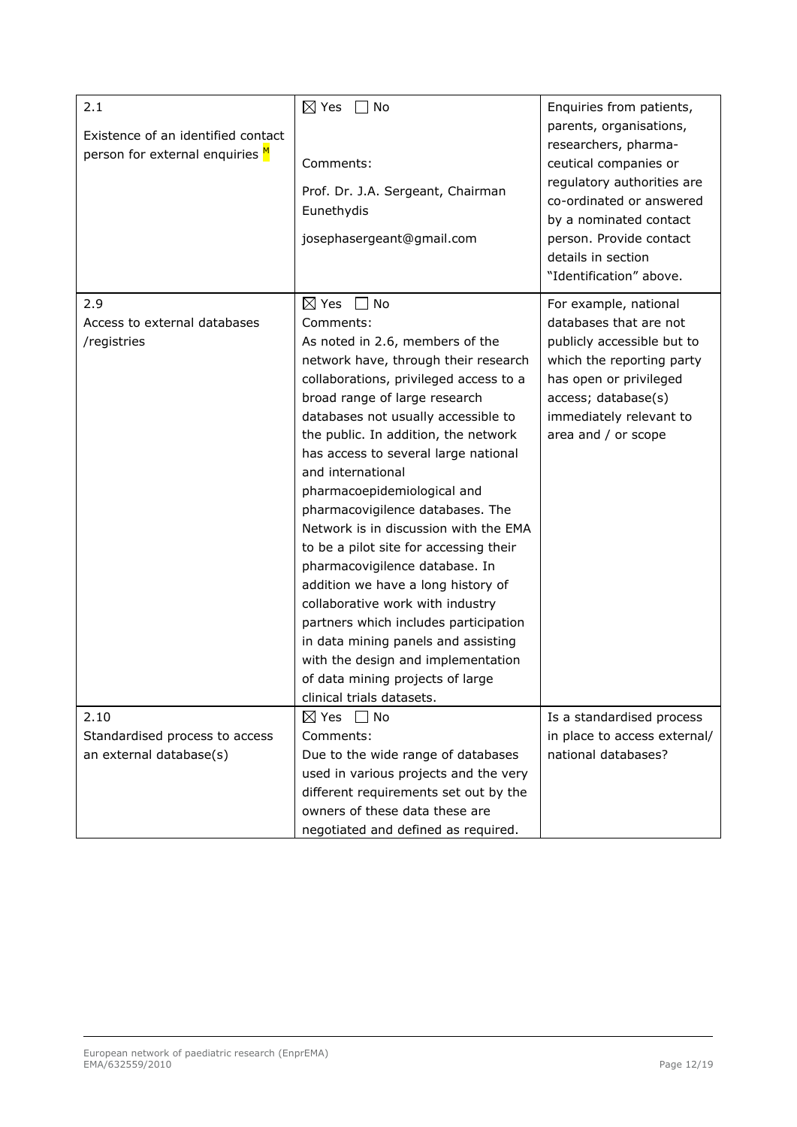| 2.1                                                                   | $\boxtimes$ Yes<br>$\Box$ No                                                              | Enquiries from patients,                                                                                                                                                                                                                 |
|-----------------------------------------------------------------------|-------------------------------------------------------------------------------------------|------------------------------------------------------------------------------------------------------------------------------------------------------------------------------------------------------------------------------------------|
| Existence of an identified contact<br>person for external enquiries M | Comments:<br>Prof. Dr. J.A. Sergeant, Chairman<br>Eunethydis<br>josephasergeant@gmail.com | parents, organisations,<br>researchers, pharma-<br>ceutical companies or<br>regulatory authorities are<br>co-ordinated or answered<br>by a nominated contact<br>person. Provide contact<br>details in section<br>"Identification" above. |
| 2.9                                                                   | $\boxtimes$ Yes<br>$\blacksquare$ No                                                      | For example, national                                                                                                                                                                                                                    |
| Access to external databases                                          | Comments:                                                                                 | databases that are not                                                                                                                                                                                                                   |
| /registries                                                           | As noted in 2.6, members of the                                                           | publicly accessible but to                                                                                                                                                                                                               |
|                                                                       | network have, through their research                                                      | which the reporting party                                                                                                                                                                                                                |
|                                                                       | collaborations, privileged access to a                                                    | has open or privileged                                                                                                                                                                                                                   |
|                                                                       | broad range of large research                                                             | access; database(s)                                                                                                                                                                                                                      |
|                                                                       | databases not usually accessible to                                                       | immediately relevant to                                                                                                                                                                                                                  |
|                                                                       | the public. In addition, the network                                                      | area and / or scope                                                                                                                                                                                                                      |
|                                                                       | has access to several large national                                                      |                                                                                                                                                                                                                                          |
|                                                                       | and international                                                                         |                                                                                                                                                                                                                                          |
|                                                                       | pharmacoepidemiological and                                                               |                                                                                                                                                                                                                                          |
|                                                                       | pharmacovigilence databases. The                                                          |                                                                                                                                                                                                                                          |
|                                                                       | Network is in discussion with the EMA                                                     |                                                                                                                                                                                                                                          |
|                                                                       | to be a pilot site for accessing their                                                    |                                                                                                                                                                                                                                          |
|                                                                       | pharmacovigilence database. In                                                            |                                                                                                                                                                                                                                          |
|                                                                       | addition we have a long history of                                                        |                                                                                                                                                                                                                                          |
|                                                                       | collaborative work with industry                                                          |                                                                                                                                                                                                                                          |
|                                                                       | partners which includes participation                                                     |                                                                                                                                                                                                                                          |
|                                                                       | in data mining panels and assisting                                                       |                                                                                                                                                                                                                                          |
|                                                                       | with the design and implementation                                                        |                                                                                                                                                                                                                                          |
|                                                                       | of data mining projects of large                                                          |                                                                                                                                                                                                                                          |
|                                                                       | clinical trials datasets.                                                                 |                                                                                                                                                                                                                                          |
| 2.10                                                                  | $\boxtimes$ Yes<br>l No                                                                   | Is a standardised process                                                                                                                                                                                                                |
| Standardised process to access                                        | Comments:                                                                                 | in place to access external/                                                                                                                                                                                                             |
| an external database(s)                                               | Due to the wide range of databases                                                        | national databases?                                                                                                                                                                                                                      |
|                                                                       | used in various projects and the very                                                     |                                                                                                                                                                                                                                          |
|                                                                       | different requirements set out by the                                                     |                                                                                                                                                                                                                                          |
|                                                                       | owners of these data these are                                                            |                                                                                                                                                                                                                                          |
|                                                                       | negotiated and defined as required.                                                       |                                                                                                                                                                                                                                          |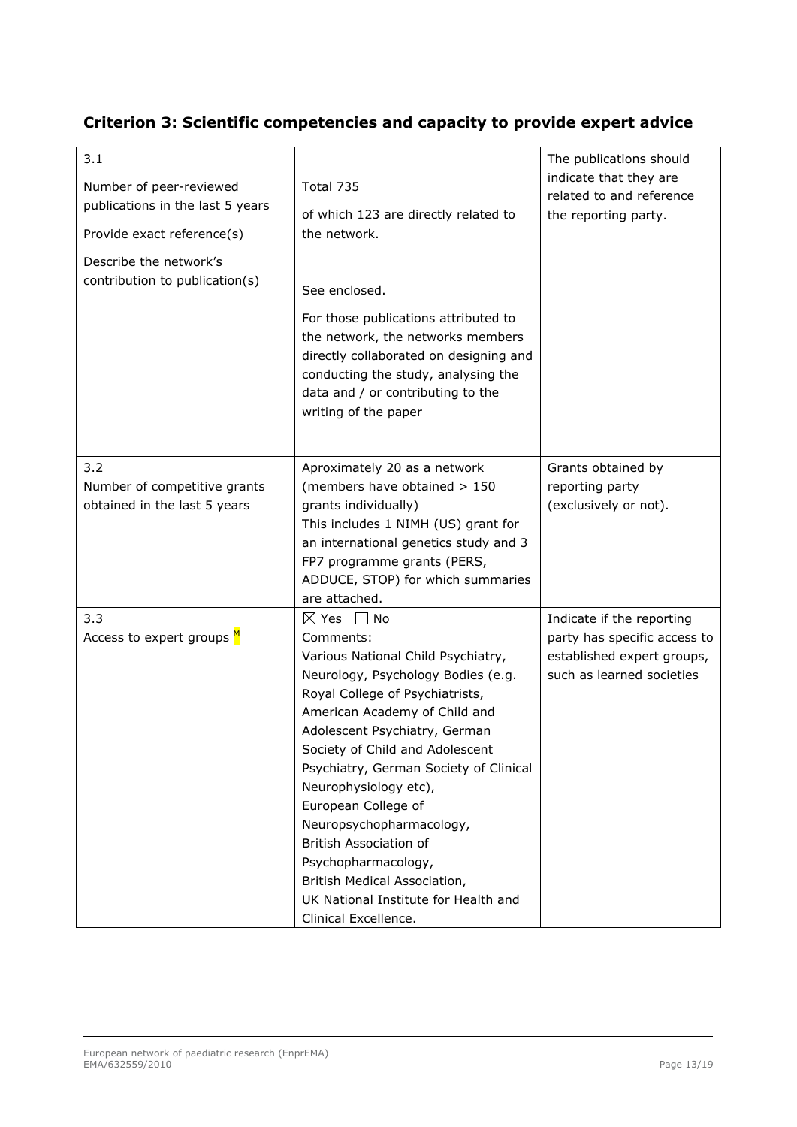### **Criterion 3: Scientific competencies and capacity to provide expert advice**

| 3.1<br>Number of peer-reviewed<br>publications in the last 5 years<br>Provide exact reference(s)<br>Describe the network's<br>contribution to publication(s) | Total 735<br>of which 123 are directly related to<br>the network.<br>See enclosed.<br>For those publications attributed to<br>the network, the networks members<br>directly collaborated on designing and<br>conducting the study, analysing the<br>data and / or contributing to the<br>writing of the paper                                                                                                                                                                                                                 | The publications should<br>indicate that they are<br>related to and reference<br>the reporting party.                |
|--------------------------------------------------------------------------------------------------------------------------------------------------------------|-------------------------------------------------------------------------------------------------------------------------------------------------------------------------------------------------------------------------------------------------------------------------------------------------------------------------------------------------------------------------------------------------------------------------------------------------------------------------------------------------------------------------------|----------------------------------------------------------------------------------------------------------------------|
| 3.2<br>Number of competitive grants<br>obtained in the last 5 years                                                                                          | Aproximately 20 as a network<br>(members have obtained > 150<br>grants individually)<br>This includes 1 NIMH (US) grant for<br>an international genetics study and 3<br>FP7 programme grants (PERS,<br>ADDUCE, STOP) for which summaries<br>are attached.                                                                                                                                                                                                                                                                     | Grants obtained by<br>reporting party<br>(exclusively or not).                                                       |
| 3.3<br>Access to expert groups M                                                                                                                             | $\boxtimes$ Yes<br>No<br>Comments:<br>Various National Child Psychiatry,<br>Neurology, Psychology Bodies (e.g.<br>Royal College of Psychiatrists,<br>American Academy of Child and<br>Adolescent Psychiatry, German<br>Society of Child and Adolescent<br>Psychiatry, German Society of Clinical<br>Neurophysiology etc),<br>European College of<br>Neuropsychopharmacology,<br>British Association of<br>Psychopharmacology,<br>British Medical Association,<br>UK National Institute for Health and<br>Clinical Excellence. | Indicate if the reporting<br>party has specific access to<br>established expert groups,<br>such as learned societies |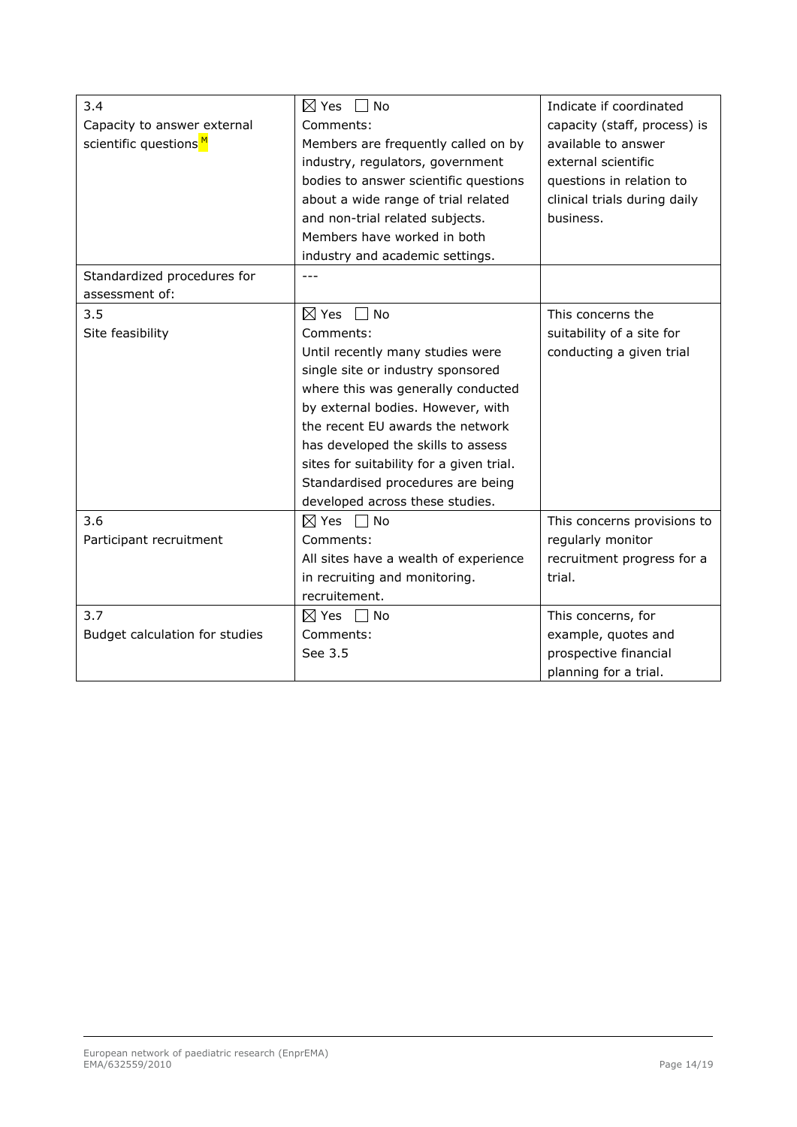| 3.4                               | $\boxtimes$ Yes $\Box$ No                | Indicate if coordinated      |
|-----------------------------------|------------------------------------------|------------------------------|
| Capacity to answer external       | Comments:                                | capacity (staff, process) is |
| scientific questions <sup>M</sup> | Members are frequently called on by      | available to answer          |
|                                   | industry, regulators, government         | external scientific          |
|                                   | bodies to answer scientific questions    | questions in relation to     |
|                                   | about a wide range of trial related      | clinical trials during daily |
|                                   | and non-trial related subjects.          | business.                    |
|                                   | Members have worked in both              |                              |
|                                   |                                          |                              |
|                                   | industry and academic settings.<br>---   |                              |
| Standardized procedures for       |                                          |                              |
| assessment of:                    |                                          |                              |
| 3.5                               | $\boxtimes$ Yes<br>$\Box$ No             | This concerns the            |
| Site feasibility                  | Comments:                                | suitability of a site for    |
|                                   | Until recently many studies were         | conducting a given trial     |
|                                   | single site or industry sponsored        |                              |
|                                   | where this was generally conducted       |                              |
|                                   | by external bodies. However, with        |                              |
|                                   | the recent EU awards the network         |                              |
|                                   | has developed the skills to assess       |                              |
|                                   | sites for suitability for a given trial. |                              |
|                                   | Standardised procedures are being        |                              |
|                                   | developed across these studies.          |                              |
| 3.6                               | $\boxtimes$ Yes $\Box$ No                | This concerns provisions to  |
| Participant recruitment           | Comments:                                | regularly monitor            |
|                                   | All sites have a wealth of experience    | recruitment progress for a   |
|                                   | in recruiting and monitoring.            | trial.                       |
|                                   | recruitement.                            |                              |
| 3.7                               | $\boxtimes$ Yes $\Box$ No                | This concerns, for           |
| Budget calculation for studies    | Comments:                                | example, quotes and          |
|                                   | See 3.5                                  | prospective financial        |
|                                   |                                          | planning for a trial.        |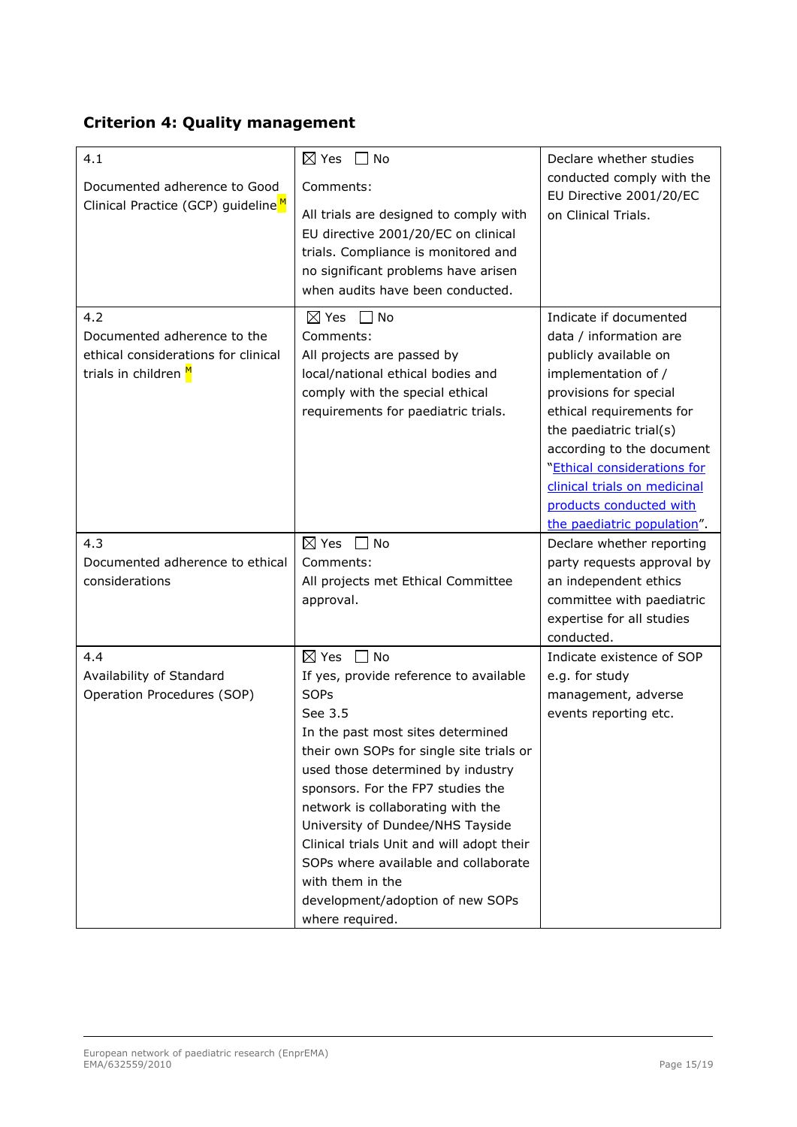## **Criterion 4: Quality management**

| 4.1                                                                                               | $\boxtimes$ Yes<br>No                                                                                                                                                                                                                                                                                                                                                                                                                                                | Declare whether studies                                                                                                                                                                                                                                                                                                                 |
|---------------------------------------------------------------------------------------------------|----------------------------------------------------------------------------------------------------------------------------------------------------------------------------------------------------------------------------------------------------------------------------------------------------------------------------------------------------------------------------------------------------------------------------------------------------------------------|-----------------------------------------------------------------------------------------------------------------------------------------------------------------------------------------------------------------------------------------------------------------------------------------------------------------------------------------|
| Documented adherence to Good<br>Clinical Practice (GCP) guideline <sup>M</sup>                    | Comments:<br>All trials are designed to comply with<br>EU directive 2001/20/EC on clinical<br>trials. Compliance is monitored and<br>no significant problems have arisen<br>when audits have been conducted.                                                                                                                                                                                                                                                         | conducted comply with the<br>EU Directive 2001/20/EC<br>on Clinical Trials.                                                                                                                                                                                                                                                             |
| 4.2<br>Documented adherence to the<br>ethical considerations for clinical<br>trials in children M | ヿ No<br>$\boxtimes$ Yes<br>Comments:<br>All projects are passed by<br>local/national ethical bodies and<br>comply with the special ethical<br>requirements for paediatric trials.                                                                                                                                                                                                                                                                                    | Indicate if documented<br>data / information are<br>publicly available on<br>implementation of /<br>provisions for special<br>ethical requirements for<br>the paediatric trial(s)<br>according to the document<br>"Ethical considerations for<br>clinical trials on medicinal<br>products conducted with<br>the paediatric population". |
| 4.3                                                                                               | $\boxtimes$ Yes<br>No                                                                                                                                                                                                                                                                                                                                                                                                                                                | Declare whether reporting                                                                                                                                                                                                                                                                                                               |
| Documented adherence to ethical                                                                   | Comments:                                                                                                                                                                                                                                                                                                                                                                                                                                                            | party requests approval by                                                                                                                                                                                                                                                                                                              |
| considerations                                                                                    | All projects met Ethical Committee<br>approval.                                                                                                                                                                                                                                                                                                                                                                                                                      | an independent ethics<br>committee with paediatric<br>expertise for all studies<br>conducted.                                                                                                                                                                                                                                           |
| 4.4                                                                                               | $\boxtimes$ Yes<br>$\Box$ No                                                                                                                                                                                                                                                                                                                                                                                                                                         | Indicate existence of SOP                                                                                                                                                                                                                                                                                                               |
| Availability of Standard<br>Operation Procedures (SOP)                                            | If yes, provide reference to available<br><b>SOPs</b><br>See 3.5<br>In the past most sites determined<br>their own SOPs for single site trials or<br>used those determined by industry<br>sponsors. For the FP7 studies the<br>network is collaborating with the<br>University of Dundee/NHS Tayside<br>Clinical trials Unit and will adopt their<br>SOPs where available and collaborate<br>with them in the<br>development/adoption of new SOPs<br>where required. | e.g. for study<br>management, adverse<br>events reporting etc.                                                                                                                                                                                                                                                                          |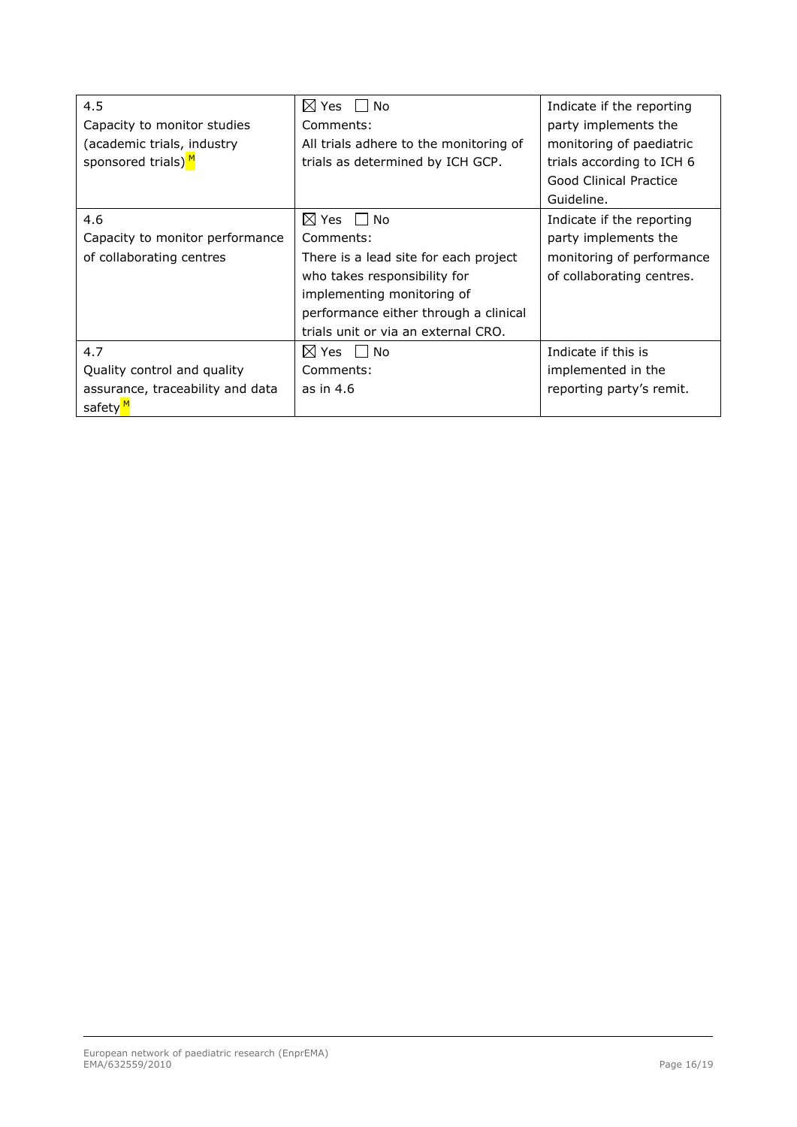| 4.5                              | $\boxtimes$ Yes<br>No                  | Indicate if the reporting |
|----------------------------------|----------------------------------------|---------------------------|
| Capacity to monitor studies      | Comments:                              | party implements the      |
| (academic trials, industry       | All trials adhere to the monitoring of | monitoring of paediatric  |
| sponsored trials) <sup>M</sup>   | trials as determined by ICH GCP.       | trials according to ICH 6 |
|                                  |                                        | Good Clinical Practice    |
|                                  |                                        | Guideline.                |
| 4.6                              | $\boxtimes$ Yes II<br><b>No</b>        | Indicate if the reporting |
| Capacity to monitor performance  | Comments:                              | party implements the      |
| of collaborating centres         | There is a lead site for each project  | monitoring of performance |
|                                  | who takes responsibility for           | of collaborating centres. |
|                                  | implementing monitoring of             |                           |
|                                  | performance either through a clinical  |                           |
|                                  | trials unit or via an external CRO.    |                           |
| 4.7                              | $\boxtimes$ Yes $\Box$ No              | Indicate if this is       |
| Quality control and quality      | Comments:                              | implemented in the        |
| assurance, traceability and data | as in 4.6                              | reporting party's remit.  |
| safety <mark>M</mark>            |                                        |                           |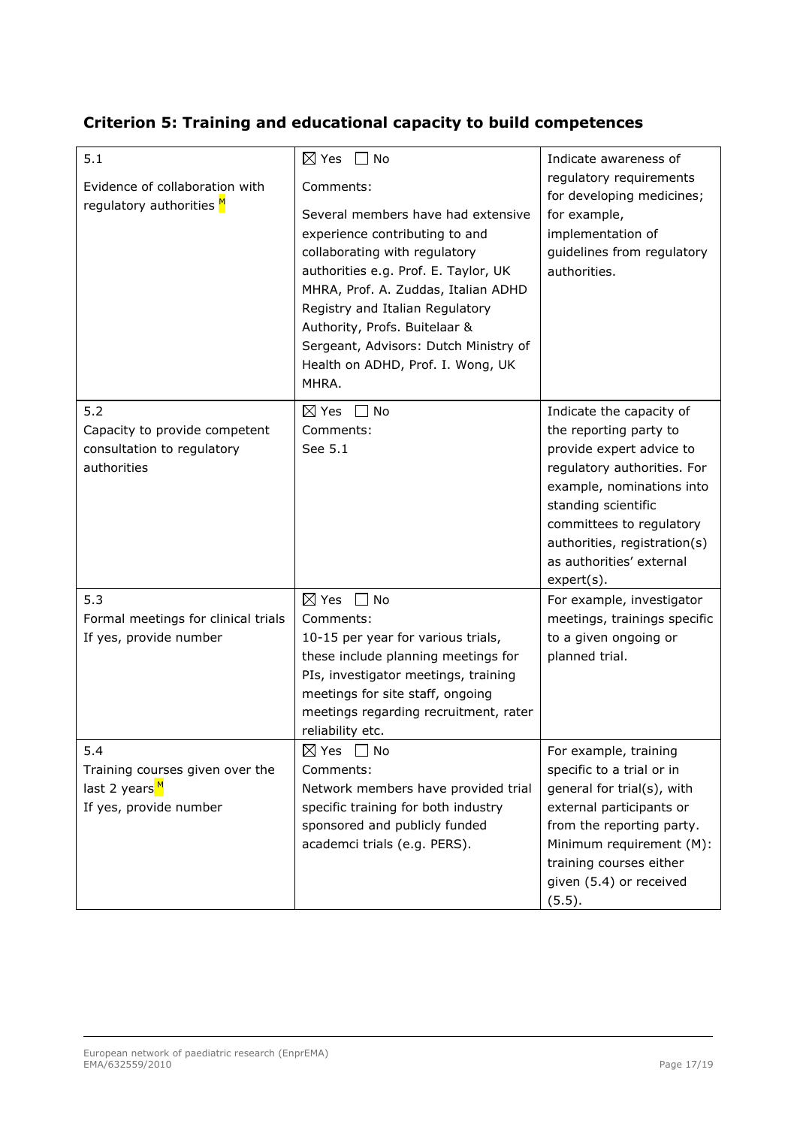### **Criterion 5: Training and educational capacity to build competences**

| 5.1                                                                                           | $\boxtimes$ Yes<br>$\Box$ No                                                                                                                                                                                                                                                                                                                                 | Indicate awareness of                                                                                                                                                                                                                                     |
|-----------------------------------------------------------------------------------------------|--------------------------------------------------------------------------------------------------------------------------------------------------------------------------------------------------------------------------------------------------------------------------------------------------------------------------------------------------------------|-----------------------------------------------------------------------------------------------------------------------------------------------------------------------------------------------------------------------------------------------------------|
| Evidence of collaboration with<br>regulatory authorities M                                    | Comments:<br>Several members have had extensive<br>experience contributing to and<br>collaborating with regulatory<br>authorities e.g. Prof. E. Taylor, UK<br>MHRA, Prof. A. Zuddas, Italian ADHD<br>Registry and Italian Regulatory<br>Authority, Profs. Buitelaar &<br>Sergeant, Advisors: Dutch Ministry of<br>Health on ADHD, Prof. I. Wong, UK<br>MHRA. | regulatory requirements<br>for developing medicines;<br>for example,<br>implementation of<br>guidelines from regulatory<br>authorities.                                                                                                                   |
| 5.2<br>Capacity to provide competent<br>consultation to regulatory<br>authorities             | $\boxtimes$ Yes<br>No<br>Comments:<br>See 5.1                                                                                                                                                                                                                                                                                                                | Indicate the capacity of<br>the reporting party to<br>provide expert advice to<br>regulatory authorities. For<br>example, nominations into<br>standing scientific<br>committees to regulatory<br>authorities, registration(s)<br>as authorities' external |
| 5.3<br>Formal meetings for clinical trials<br>If yes, provide number                          | $\boxtimes$ Yes<br>$\Box$ No<br>Comments:<br>10-15 per year for various trials,<br>these include planning meetings for<br>PIs, investigator meetings, training<br>meetings for site staff, ongoing<br>meetings regarding recruitment, rater<br>reliability etc.                                                                                              | $expert(s)$ .<br>For example, investigator<br>meetings, trainings specific<br>to a given ongoing or<br>planned trial.                                                                                                                                     |
| 5.4<br>Training courses given over the<br>last 2 years <sup>M</sup><br>If yes, provide number | $\boxtimes$ Yes $\quad \Box$ No<br>Comments:<br>Network members have provided trial<br>specific training for both industry<br>sponsored and publicly funded<br>academci trials (e.g. PERS).                                                                                                                                                                  | For example, training<br>specific to a trial or in<br>general for trial(s), with<br>external participants or<br>from the reporting party.<br>Minimum requirement (M):<br>training courses either<br>given (5.4) or received<br>(5.5).                     |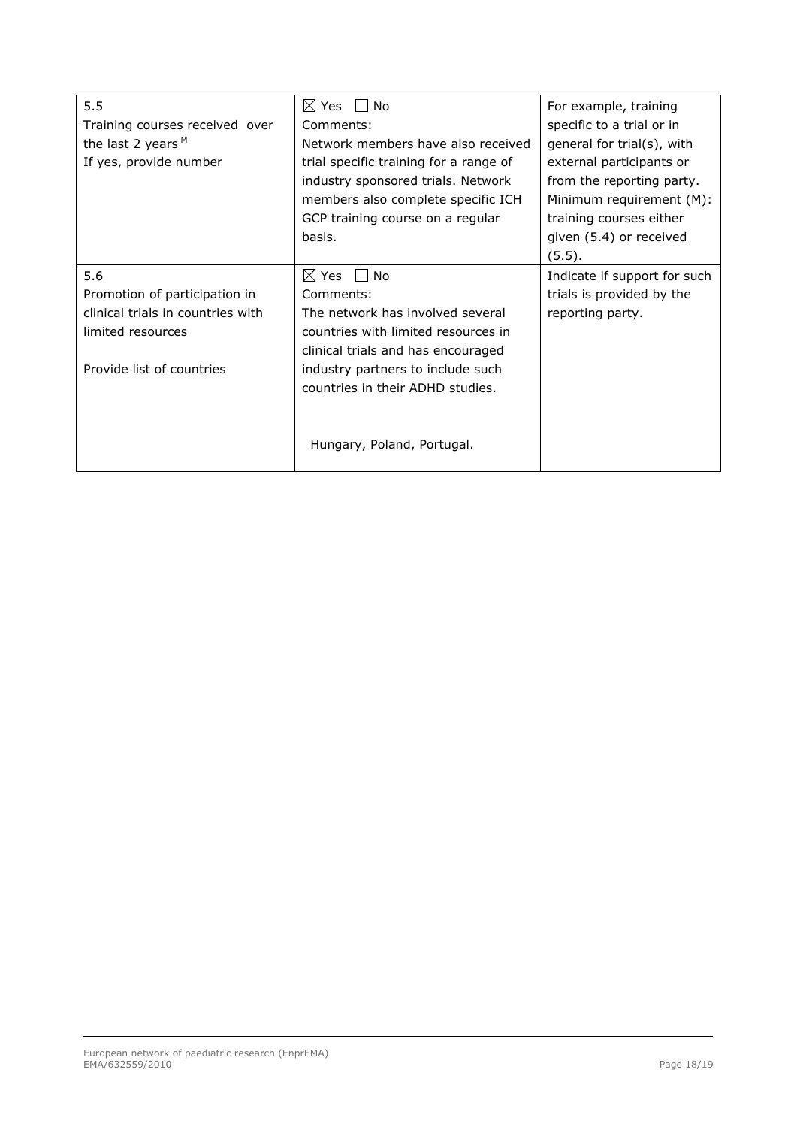| 5.5                               | $\boxtimes$ Yes<br>No<br>$\blacksquare$ | For example, training        |
|-----------------------------------|-----------------------------------------|------------------------------|
| Training courses received over    | Comments:                               | specific to a trial or in    |
| the last 2 years $M$              | Network members have also received      | general for trial(s), with   |
| If yes, provide number            | trial specific training for a range of  | external participants or     |
|                                   | industry sponsored trials. Network      | from the reporting party.    |
|                                   | members also complete specific ICH      | Minimum requirement (M):     |
|                                   | GCP training course on a regular        | training courses either      |
|                                   | basis.                                  | given (5.4) or received      |
|                                   |                                         | (5.5).                       |
| 5.6                               | $\boxtimes$ Yes $\Box$ No               | Indicate if support for such |
| Promotion of participation in     | Comments:                               | trials is provided by the    |
| clinical trials in countries with | The network has involved several        | reporting party.             |
| limited resources                 | countries with limited resources in     |                              |
|                                   | clinical trials and has encouraged      |                              |
| Provide list of countries         | industry partners to include such       |                              |
|                                   | countries in their ADHD studies.        |                              |
|                                   |                                         |                              |
|                                   |                                         |                              |
|                                   | Hungary, Poland, Portugal.              |                              |
|                                   |                                         |                              |